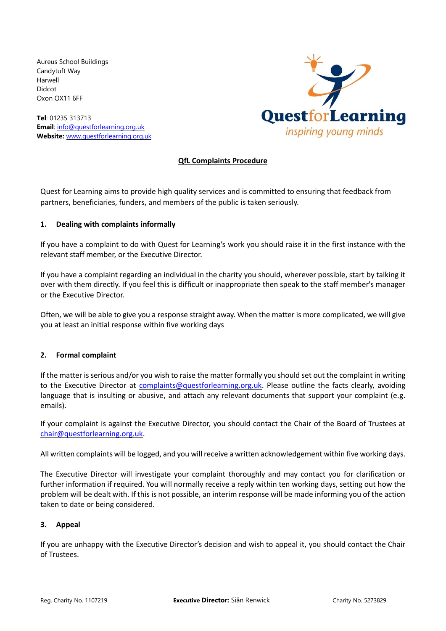Aureus School Buildings Candytuft Way Harwell Didcot Oxon OX11 6FF

**Tel**: 01235 313713 **Email**: [info@questforlearning.org.uk](mailto:info@questforlearning.org.uk) **Website:** [www.questforlearning.org.uk](http://www.questforlearning.org.uk/)



## **QfL Complaints Procedure**

Quest for Learning aims to provide high quality services and is committed to ensuring that feedback from partners, beneficiaries, funders, and members of the public is taken seriously.

## **1. Dealing with complaints informally**

If you have a complaint to do with Quest for Learning's work you should raise it in the first instance with the relevant staff member, or the Executive Director.

If you have a complaint regarding an individual in the charity you should, wherever possible, start by talking it over with them directly. If you feel this is difficult or inappropriate then speak to the staff member's manager or the Executive Director.

Often, we will be able to give you a response straight away. When the matter is more complicated, we will give you at least an initial response within five working days

## **2. Formal complaint**

If the matter is serious and/or you wish to raise the matter formally you should set out the complaint in writing to the Executive Director at [complaints@questforlearning.org.uk.](mailto:complaints@questforlearning.org.uk) Please outline the facts clearly, avoiding language that is insulting or abusive, and attach any relevant documents that support your complaint (e.g. emails).

If your complaint is against the Executive Director, you should contact the Chair of the Board of Trustees at [chair@questforlearning.org.uk.](mailto:chair@questforlearning.org.uk)

All written complaints will be logged, and you will receive a written acknowledgement within five working days.

The Executive Director will investigate your complaint thoroughly and may contact you for clarification or further information if required. You will normally receive a reply within ten working days, setting out how the problem will be dealt with. If this is not possible, an interim response will be made informing you of the action taken to date or being considered.

## **3. Appeal**

If you are unhappy with the Executive Director's decision and wish to appeal it, you should contact the Chair of Trustees.